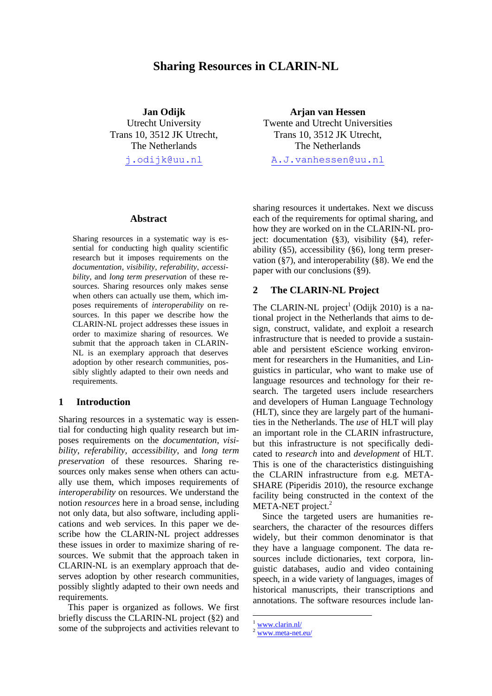# **Sharing Resources in CLARIN-NL**

**Jan Odijk** Utrecht University Trans 10, 3512 JK Utrecht, The Netherlands

[j.odijk@uu.nl](mailto:j.odijk@uu.nl)

**Arjan van Hessen** Twente and Utrecht Universities Trans 10, 3512 JK Utrecht, The Netherlands [A.J.vanhessen@uu.nl](mailto:A.J.vanhessen@uu.nl)

#### **Abstract**

Sharing resources in a systematic way is essential for conducting high quality scientific research but it imposes requirements on the *documentation*, *visibility*, *referability*, *accessibility*, and *long term preservation* of these resources. Sharing resources only makes sense when others can actually use them, which imposes requirements of *interoperability* on resources. In this paper we describe how the CLARIN-NL project addresses these issues in order to maximize sharing of resources. We submit that the approach taken in CLARIN-NL is an exemplary approach that deserves adoption by other research communities, possibly slightly adapted to their own needs and requirements.

### **1 Introduction**

Sharing resources in a systematic way is essential for conducting high quality research but imposes requirements on the *documentation*, *visibility*, *referability, accessibility*, and *long term preservation* of these resources. Sharing resources only makes sense when others can actually use them, which imposes requirements of *interoperability* on resources. We understand the notion *resources* here in a broad sense, including not only data, but also software, including applications and web services. In this paper we describe how the CLARIN-NL project addresses these issues in order to maximize sharing of resources. We submit that the approach taken in CLARIN-NL is an exemplary approach that deserves adoption by other research communities, possibly slightly adapted to their own needs and requirements.

This paper is organized as follows. We first briefly discuss the CLARIN-NL project ([§2\)](#page-0-0) and some of the subprojects and activities relevant to

sharing resources it undertakes. Next we discuss each of the requirements for optimal sharing, and how they are worked on in the CLARIN-NL project: documentation ([§3\)](#page-2-0), visibility ([§4\)](#page-3-0), referability ([§5\)](#page-4-0), accessibility ([§6\)](#page-4-1), long term preservation ([§7\)](#page-5-0), and interoperability ([§8\)](#page-5-1). We end the paper with our conclusions ([§9\)](#page-7-0).

### <span id="page-0-0"></span>**2 The CLARIN-NL Project**

The CLARIN-NL project<sup>1</sup> (Odijk 2010) is a national project in the Netherlands that aims to design, construct, validate, and exploit a research infrastructure that is needed to provide a sustainable and persistent eScience working environment for researchers in the Humanities, and Linguistics in particular, who want to make use of language resources and technology for their research. The targeted users include researchers and developers of Human Language Technology (HLT), since they are largely part of the humanities in the Netherlands. The *use* of HLT will play an important role in the CLARIN infrastructure, but this infrastructure is not specifically dedicated to *research* into and *development* of HLT. This is one of the characteristics distinguishing the CLARIN infrastructure from e.g. META-SHARE (Piperidis 2010), the resource exchange facility being constructed in the context of the META-NET project.<sup>2</sup>

Since the targeted users are humanities researchers, the character of the resources differs widely, but their common denominator is that they have a language component. The data resources include dictionaries, text corpora, linguistic databases, audio and video containing speech, in a wide variety of languages, images of historical manuscripts, their transcriptions and annotations. The software resources include lan-

<sup>&</sup>lt;sup>1</sup> [www.clarin.nl/](http://www.clarin.nl/)

[www.meta-net.eu/](http://www.meta-net.eu/)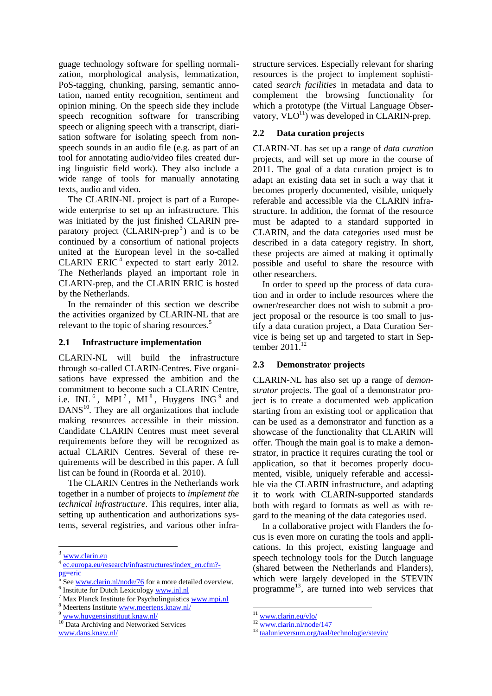guage technology software for spelling normalization, morphological analysis, lemmatization, PoS-tagging, chunking, parsing, semantic annotation, named entity recognition, sentiment and opinion mining. On the speech side they include speech recognition software for transcribing speech or aligning speech with a transcript, diarisation software for isolating speech from nonspeech sounds in an audio file (e.g. as part of an tool for annotating audio/video files created during linguistic field work). They also include a wide range of tools for manually annotating texts, audio and video.

The CLARIN-NL project is part of a Europewide enterprise to set up an infrastructure. This was initiated by the just finished CLARIN preparatory project (CLARIN-prep<sup>3</sup>) and is to be continued by a consortium of national projects united at the European level in the so-called CLARIN ERIC<sup>4</sup> expected to start early 2012. The Netherlands played an important role in CLARIN-prep, and the CLARIN ERIC is hosted by the Netherlands.

In the remainder of this section we describe the activities organized by CLARIN-NL that are relevant to the topic of sharing resources.<sup>5</sup>

### **2.1 Infrastructure implementation**

CLARIN-NL will build the infrastructure through so-called CLARIN-Centres. Five organisations have expressed the ambition and the commitment to become such a CLARIN Centre, i.e.  $INL<sup>6</sup>$ , MPI<sup>7</sup>, MI<sup>8</sup>, Huygens ING<sup>9</sup> and DANS<sup>10</sup>. They are all organizations that include making resources accessible in their mission. Candidate CLARIN Centres must meet several requirements before they will be recognized as actual CLARIN Centres. Several of these requirements will be described in this paper. A full list can be found in (Roorda et al. 2010).

The CLARIN Centres in the Netherlands work together in a number of projects to *implement the technical infrastructure*. This requires, inter alia, setting up authentication and authorizations systems, several registries, and various other infra-

<sup>10</sup> Data Archiving and Networked Services [www.dans.knaw.nl/](http://www.dans.knaw.nl/)

structure services. Especially relevant for sharing resources is the project to implement sophisticated *search facilities* in metadata and data to complement the browsing functionality for which a prototype (the Virtual Language Observatory,  $VLO<sup>11</sup>$ ) was developed in CLARIN-prep.

### **2.2 Data curation projects**

CLARIN-NL has set up a range of *data curation* projects, and will set up more in the course of 2011. The goal of a data curation project is to adapt an existing data set in such a way that it becomes properly documented, visible, uniquely referable and accessible via the CLARIN infrastructure. In addition, the format of the resource must be adapted to a standard supported in CLARIN, and the data categories used must be described in a data category registry. In short, these projects are aimed at making it optimally possible and useful to share the resource with other researchers.

In order to speed up the process of data curation and in order to include resources where the owner/researcher does not wish to submit a project proposal or the resource is too small to justify a data curation project, a Data Curation Service is being set up and targeted to start in September 2011.<sup>12</sup>

#### **2.3 Demonstrator projects**

CLARIN-NL has also set up a range of *demonstrator* projects. The goal of a demonstrator project is to create a documented web application starting from an existing tool or application that can be used as a demonstrator and function as a showcase of the functionality that CLARIN will offer. Though the main goal is to make a demonstrator, in practice it requires curating the tool or application, so that it becomes properly documented, visible, uniquely referable and accessible via the CLARIN infrastructure, and adapting it to work with CLARIN-supported standards both with regard to formats as well as with regard to the meaning of the data categories used.

In a collaborative project with Flanders the focus is even more on curating the tools and applications. In this project, existing language and speech technology tools for the Dutch language (shared between the Netherlands and Flanders), which were largely developed in the STEVIN programme<sup>13</sup>, are turned into web services that

[www.clarin.eu](http://www.clarin.eu/)

<sup>4</sup> [ec.europa.eu/research/infrastructures/index\\_en.cfm?](http://ec.europa.eu/research/infrastructures/index_en.cfm?pg=eric) [pg=eric](http://ec.europa.eu/research/infrastructures/index_en.cfm?pg=eric)

<sup>5</sup> Se[e www.clarin.nl/node/76](http://www.clarin.nl/node/76) for a more detailed overview.

<sup>&</sup>lt;sup>6</sup> Institute for Dutch Lexicology [www.inl.nl](http://www.inl.nl/)

Max Planck Institute for Psycholinguistic[s www.mpi.nl](http://www.mpi.nl/) <sup>8</sup> Meertens Institute [www.meertens.knaw.nl/](http://www.meertens.knaw.nl/)

<sup>9</sup> [www.huygensinstituut.knaw.nl/](http://www.huygensinstituut.knaw.nl/)

 $11$  [www.clarin.eu/vlo/](http://www.clarin.eu/vlo/)

 $12 \frac{12 \text{www.clarin.nl}/node}{147}$ 

<sup>13</sup> [taalunieversum.org/taal/technologie/stevin/](http://taalunieversum.org/taal/technologie/stevin/)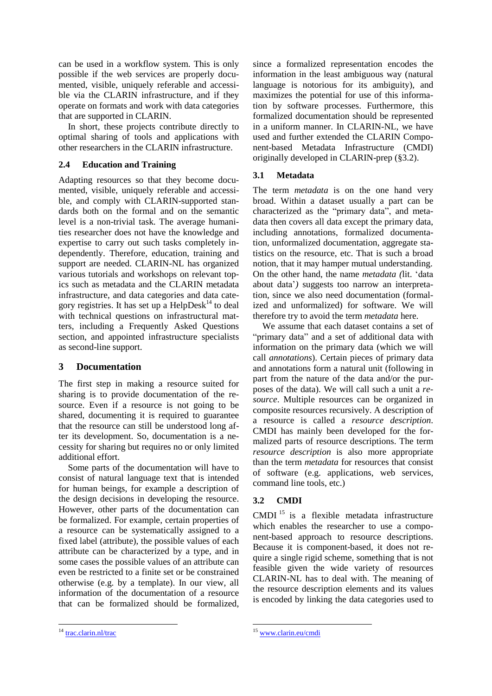can be used in a workflow system. This is only possible if the web services are properly documented, visible, uniquely referable and accessible via the CLARIN infrastructure, and if they operate on formats and work with data categories that are supported in CLARIN.

In short, these projects contribute directly to optimal sharing of tools and applications with other researchers in the CLARIN infrastructure.

## **2.4 Education and Training**

Adapting resources so that they become documented, visible, uniquely referable and accessible, and comply with CLARIN-supported standards both on the formal and on the semantic level is a non-trivial task. The average humanities researcher does not have the knowledge and expertise to carry out such tasks completely independently. Therefore, education, training and support are needed. CLARIN-NL has organized various tutorials and workshops on relevant topics such as metadata and the CLARIN metadata infrastructure, and data categories and data category registries. It has set up a  $\text{HelpDesk}^{14}$  to deal with technical questions on infrastructural matters, including a Frequently Asked Questions section, and appointed infrastructure specialists as second-line support.

## <span id="page-2-0"></span>**3 Documentation**

The first step in making a resource suited for sharing is to provide documentation of the resource. Even if a resource is not going to be shared, documenting it is required to guarantee that the resource can still be understood long after its development. So, documentation is a necessity for sharing but requires no or only limited additional effort.

Some parts of the documentation will have to consist of natural language text that is intended for human beings, for example a description of the design decisions in developing the resource. However, other parts of the documentation can be formalized. For example, certain properties of a resource can be systematically assigned to a fixed label (attribute), the possible values of each attribute can be characterized by a type, and in some cases the possible values of an attribute can even be restricted to a finite set or be constrained otherwise (e.g. by a template). In our view, all information of the documentation of a resource that can be formalized should be formalized,

since a formalized representation encodes the information in the least ambiguous way (natural language is notorious for its ambiguity), and maximizes the potential for use of this information by software processes. Furthermore, this formalized documentation should be represented in a uniform manner. In CLARIN-NL, we have used and further extended the CLARIN Component-based Metadata Infrastructure (CMDI) originally developed in CLARIN-prep ([§3.2\)](#page-2-1).

## **3.1 Metadata**

The term *metadata* is on the one hand very broad. Within a dataset usually a part can be characterized as the "primary data", and metadata then covers all data except the primary data, including annotations, formalized documentation, unformalized documentation, aggregate statistics on the resource, etc. That is such a broad notion, that it may hamper mutual understanding. On the other hand, the name *metadata (*lit. "data about data"*)* suggests too narrow an interpretation, since we also need documentation (formalized and unformalized) for software. We will therefore try to avoid the term *metadata* here.

We assume that each dataset contains a set of "primary data" and a set of additional data with information on the primary data (which we will call *annotations*). Certain pieces of primary data and annotations form a natural unit (following in part from the nature of the data and/or the purposes of the data). We will call such a unit a *resource*. Multiple resources can be organized in composite resources recursively. A description of a resource is called a *resource description*. CMDI has mainly been developed for the formalized parts of resource descriptions. The term *resource description* is also more appropriate than the term *metadata* for resources that consist of software (e.g. applications, web services, command line tools, etc.)

## <span id="page-2-1"></span>**3.2 CMDI**

CMDI<sup>15</sup> is a flexible metadata infrastructure which enables the researcher to use a component-based approach to resource descriptions. Because it is component-based, it does not require a single rigid scheme, something that is not feasible given the wide variety of resources CLARIN-NL has to deal with. The meaning of the resource description elements and its values is encoded by linking the data categories used to

<sup>&</sup>lt;sup>14</sup> [trac.clarin.nl/trac](http://trac.clarin.nl/trac)

<sup>&</sup>lt;sup>15</sup> [www.clarin.eu/cmdi](http://www.clarin.eu/cmdi)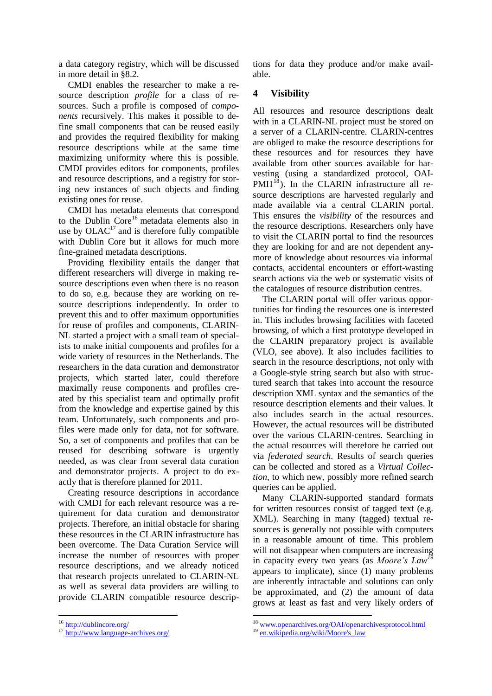a data category registry, which will be discussed in more detail in [§8.2.](#page-6-0)

CMDI enables the researcher to make a resource description *profile* for a class of resources. Such a profile is composed of *components* recursively. This makes it possible to define small components that can be reused easily and provides the required flexibility for making resource descriptions while at the same time maximizing uniformity where this is possible. CMDI provides editors for components, profiles and resource descriptions, and a registry for storing new instances of such objects and finding existing ones for reuse.

CMDI has metadata elements that correspond to the Dublin Core<sup>16</sup> metadata elements also in use by  $OLAC<sup>17</sup>$  and is therefore fully compatible with Dublin Core but it allows for much more fine-grained metadata descriptions.

Providing flexibility entails the danger that different researchers will diverge in making resource descriptions even when there is no reason to do so, e.g. because they are working on resource descriptions independently. In order to prevent this and to offer maximum opportunities for reuse of profiles and components, CLARIN-NL started a project with a small team of specialists to make initial components and profiles for a wide variety of resources in the Netherlands. The researchers in the data curation and demonstrator projects, which started later, could therefore maximally reuse components and profiles created by this specialist team and optimally profit from the knowledge and expertise gained by this team. Unfortunately, such components and profiles were made only for data, not for software. So, a set of components and profiles that can be reused for describing software is urgently needed, as was clear from several data curation and demonstrator projects. A project to do exactly that is therefore planned for 2011.

Creating resource descriptions in accordance with CMDI for each relevant resource was a requirement for data curation and demonstrator projects. Therefore, an initial obstacle for sharing these resources in the CLARIN infrastructure has been overcome. The Data Curation Service will increase the number of resources with proper resource descriptions, and we already noticed that research projects unrelated to CLARIN-NL as well as several data providers are willing to provide CLARIN compatible resource descriptions for data they produce and/or make available.

## <span id="page-3-0"></span>**4 Visibility**

All resources and resource descriptions dealt with in a CLARIN-NL project must be stored on a server of a CLARIN-centre. CLARIN-centres are obliged to make the resource descriptions for these resources and for resources they have available from other sources available for harvesting (using a standardized protocol, OAI- $PMH<sup>18</sup>$ ). In the CLARIN infrastructure all resource descriptions are harvested regularly and made available via a central CLARIN portal. This ensures the *visibility* of the resources and the resource descriptions. Researchers only have to visit the CLARIN portal to find the resources they are looking for and are not dependent anymore of knowledge about resources via informal contacts, accidental encounters or effort-wasting search actions via the web or systematic visits of the catalogues of resource distribution centres.

The CLARIN portal will offer various opportunities for finding the resources one is interested in. This includes browsing facilities with faceted browsing, of which a first prototype developed in the CLARIN preparatory project is available (VLO, see above). It also includes facilities to search in the resource descriptions, not only with a Google-style string search but also with structured search that takes into account the resource description XML syntax and the semantics of the resource description elements and their values. It also includes search in the actual resources. However, the actual resources will be distributed over the various CLARIN-centres. Searching in the actual resources will therefore be carried out via *federated search*. Results of search queries can be collected and stored as a *Virtual Collection*, to which new, possibly more refined search queries can be applied.

Many CLARIN-supported standard formats for written resources consist of tagged text (e.g. XML). Searching in many (tagged) textual resources is generally not possible with computers in a reasonable amount of time. This problem will not disappear when computers are increasing in capacity every two years (as *Moore's Law<sup>19</sup>* appears to implicate), since (1) many problems are inherently intractable and solutions can only be approximated, and (2) the amount of data grows at least as fast and very likely orders of

<sup>&</sup>lt;sup>16</sup> <http://dublincore.org/>

<sup>17</sup> <http://www.language-archives.org/>

<sup>&</sup>lt;sup>18</sup> [www.openarchives.org/OAI/openarchivesprotocol.html](http://www.openarchives.org/OAI/openarchivesprotocol.html)

<sup>19</sup> [en.wikipedia.org/wiki/Moore's\\_law](http://en.wikipedia.org/wiki/Moore)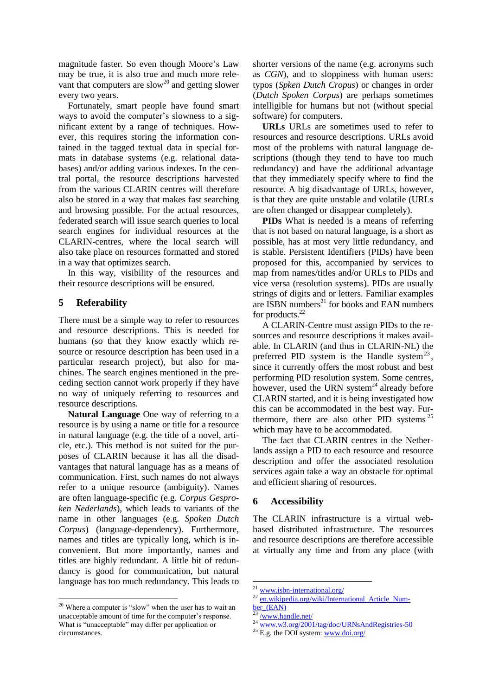magnitude faster. So even though Moore's Law may be true, it is also true and much more relevant that computers are slow<sup>20</sup> and getting slower every two years.

Fortunately, smart people have found smart ways to avoid the computer's slowness to a significant extent by a range of techniques. However, this requires storing the information contained in the tagged textual data in special formats in database systems (e.g. relational databases) and/or adding various indexes. In the central portal, the resource descriptions harvested from the various CLARIN centres will therefore also be stored in a way that makes fast searching and browsing possible. For the actual resources, federated search will issue search queries to local search engines for individual resources at the CLARIN-centres, where the local search will also take place on resources formatted and stored in a way that optimizes search.

In this way, visibility of the resources and their resource descriptions will be ensured.

## <span id="page-4-0"></span>**5 Referability**

There must be a simple way to refer to resources and resource descriptions. This is needed for humans (so that they know exactly which resource or resource description has been used in a particular research project), but also for machines. The search engines mentioned in the preceding section cannot work properly if they have no way of uniquely referring to resources and resource descriptions.

**Natural Language** One way of referring to a resource is by using a name or title for a resource in natural language (e.g. the title of a novel, article, etc.). This method is not suited for the purposes of CLARIN because it has all the disadvantages that natural language has as a means of communication. First, such names do not always refer to a unique resource (ambiguity). Names are often language-specific (e.g. *Corpus Gesproken Nederlands*), which leads to variants of the name in other languages (e.g. *Spoken Dutch Corpus*) (language-dependency). Furthermore, names and titles are typically long, which is inconvenient. But more importantly, names and titles are highly redundant. A little bit of redundancy is good for communication, but natural language has too much redundancy. This leads to

shorter versions of the name (e.g. acronyms such as *CGN*), and to sloppiness with human users: typos (*Spken Dutch Cropus*) or changes in order (*Dutch Spoken Corpus*) are perhaps sometimes intelligible for humans but not (without special software) for computers.

**URLs** URLs are sometimes used to refer to resources and resource descriptions. URLs avoid most of the problems with natural language descriptions (though they tend to have too much redundancy) and have the additional advantage that they immediately specify where to find the resource. A big disadvantage of URLs, however, is that they are quite unstable and volatile (URLs are often changed or disappear completely).

**PIDs** What is needed is a means of referring that is not based on natural language, is a short as possible, has at most very little redundancy, and is stable. Persistent Identifiers (PIDs) have been proposed for this, accompanied by services to map from names/titles and/or URLs to PIDs and vice versa (resolution systems). PIDs are usually strings of digits and or letters. Familiar examples are ISBN numbers<sup>21</sup> for books and EAN numbers for products.<sup>22</sup>

A CLARIN-Centre must assign PIDs to the resources and resource descriptions it makes available. In CLARIN (and thus in CLARIN-NL) the preferred PID system is the Handle system<sup>23</sup>, since it currently offers the most robust and best performing PID resolution system. Some centres, however, used the URN system<sup>24</sup> already before CLARIN started, and it is being investigated how this can be accommodated in the best way. Furthermore, there are also other PID systems  $25$ which may have to be accommodated.

The fact that CLARIN centres in the Netherlands assign a PID to each resource and resource description and offer the associated resolution services again take a way an obstacle for optimal and efficient sharing of resources.

## <span id="page-4-1"></span>**6 Accessibility**

The CLARIN infrastructure is a virtual webbased distributed infrastructure. The resources and resource descriptions are therefore accessible at virtually any time and from any place (with

<sup>&</sup>lt;sup>20</sup> Where a computer is "slow" when the user has to wait an unacceptable amount of time for the computer's response. What is "unacceptable" may differ per application or circumstances.

<sup>&</sup>lt;sup>21</sup> [www.isbn-international.org/](http://www.isbn-international.org/)

en.wikipedia.org/wiki/International Article Num[ber\\_\(EAN\)](http://en.wikipedia.org/wiki/International_Article_Number_(EAN))

[<sup>/</sup>www.handle.net/](http://www.handle.net/)

<sup>&</sup>lt;sup>24</sup> [www.w3.org/2001/tag/doc/URNsAndRegistries-50](http://www.w3.org/2001/tag/doc/URNsAndRegistries-50)

 $25$  E.g. the DOI system: [www.doi.org/](http://www.doi.org/)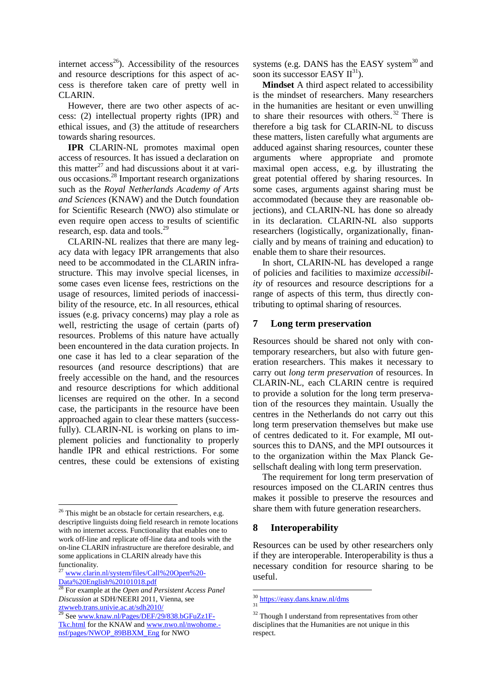internet access<sup>26</sup>). Accessibility of the resources and resource descriptions for this aspect of access is therefore taken care of pretty well in CLARIN.

However, there are two other aspects of access: (2) intellectual property rights (IPR) and ethical issues, and (3) the attitude of researchers towards sharing resources.

**IPR** CLARIN-NL promotes maximal open access of resources. It has issued a declaration on this matter $^{27}$  and had discussions about it at various occasions.<sup>28</sup> Important research organizations such as the *Royal Netherlands Academy of Arts and Sciences* (KNAW) and the Dutch foundation for Scientific Research (NWO) also stimulate or even require open access to results of scientific research, esp. data and tools.<sup>29</sup>

CLARIN-NL realizes that there are many legacy data with legacy IPR arrangements that also need to be accommodated in the CLARIN infrastructure. This may involve special licenses, in some cases even license fees, restrictions on the usage of resources, limited periods of inaccessibility of the resource, etc. In all resources, ethical issues (e.g. privacy concerns) may play a role as well, restricting the usage of certain (parts of) resources. Problems of this nature have actually been encountered in the data curation projects. In one case it has led to a clear separation of the resources (and resource descriptions) that are freely accessible on the hand, and the resources and resource descriptions for which additional licenses are required on the other. In a second case, the participants in the resource have been approached again to clear these matters (successfully). CLARIN-NL is working on plans to implement policies and functionality to properly handle IPR and ethical restrictions. For some centres, these could be extensions of existing

<sup>27</sup> [www.clarin.nl/system/files/Call%20Open%20-](http://www.clarin.nl/system/files/Call%20Open%20%1fData%20English%20101018.pdf)  $\underline{\text{Data}\%20\text{English}\%20101018.pdf}$ 

systems (e.g. DANS has the EASY system $30$  and soon its successor EASY  $II^{31}$ ).

**Mindset** A third aspect related to accessibility is the mindset of researchers. Many researchers in the humanities are hesitant or even unwilling to share their resources with others.<sup>32</sup> There is therefore a big task for CLARIN-NL to discuss these matters, listen carefully what arguments are adduced against sharing resources, counter these arguments where appropriate and promote maximal open access, e.g. by illustrating the great potential offered by sharing resources. In some cases, arguments against sharing must be accommodated (because they are reasonable objections), and CLARIN-NL has done so already in its declaration. CLARIN-NL also supports researchers (logistically, organizationally, financially and by means of training and education) to enable them to share their resources.

In short, CLARIN-NL has developed a range of policies and facilities to maximize *accessibility* of resources and resource descriptions for a range of aspects of this term, thus directly contributing to optimal sharing of resources.

## <span id="page-5-0"></span>**7 Long term preservation**

Resources should be shared not only with contemporary researchers, but also with future generation researchers. This makes it necessary to carry out *long term preservation* of resources. In CLARIN-NL, each CLARIN centre is required to provide a solution for the long term preservation of the resources they maintain. Usually the centres in the Netherlands do not carry out this long term preservation themselves but make use of centres dedicated to it. For example, MI outsources this to DANS, and the MPI outsources it to the organization within the Max Planck Gesellschaft dealing with long term preservation.

The requirement for long term preservation of resources imposed on the CLARIN centres thus makes it possible to preserve the resources and share them with future generation researchers.

## <span id="page-5-1"></span>**8 Interoperability**

Resources can be used by other researchers only if they are interoperable. Interoperability is thus a necessary condition for resource sharing to be useful.

  $26$  This might be an obstacle for certain researchers, e.g. descriptive linguists doing field research in remote locations with no internet access. Functionality that enables one to work off-line and replicate off-line data and tools with the on-line CLARIN infrastructure are therefore desirable, and some applications in CLARIN already have this functionality.

<sup>28</sup> For example at the *Open and Persistent Access Panel Discussion* at SDH/NEERI 2011, Vienna, see [ztwweb.trans.univie.ac.at/sdh2010/](http://ztwweb.trans.univie.ac.at/sdh2010/)

<sup>&</sup>lt;sup>29</sup> Se[e www.knaw.nl/Pages/DEF/29/838.bGFuZz1F-](http://www.knaw.nl/Pages/DEF/29/838.bGFuZz1F%1fTkc.html)[Tkc.html](http://www.knaw.nl/Pages/DEF/29/838.bGFuZz1F%1fTkc.html) for the KNAW an[d www.nwo.nl/nwohome.](http://www.nwo.nl/nwohome.%1fnsf/pages/NWOP_89BBXM_Eng) [nsf/pages/NWOP\\_89BBXM\\_Eng](http://www.nwo.nl/nwohome.%1fnsf/pages/NWOP_89BBXM_Eng) for NWO

<sup>&</sup>lt;sup>30</sup> <https://easy.dans.knaw.nl/dms> 31

<sup>&</sup>lt;sup>32</sup> Though I understand from representatives from other disciplines that the Humanities are not unique in this respect.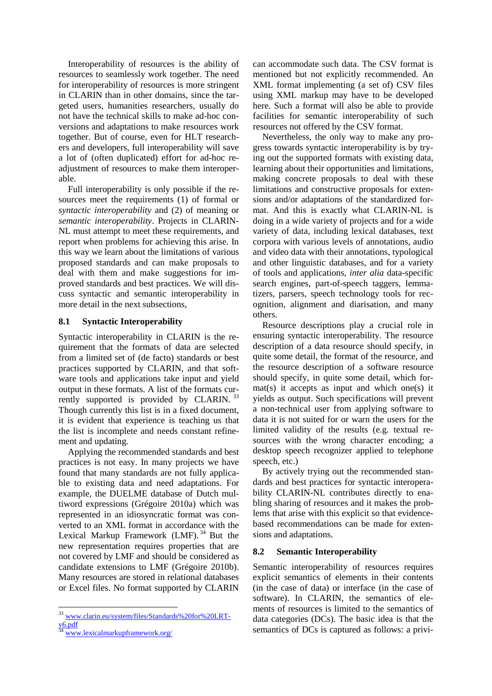Interoperability of resources is the ability of resources to seamlessly work together. The need for interoperability of resources is more stringent in CLARIN than in other domains, since the targeted users, humanities researchers, usually do not have the technical skills to make ad-hoc conversions and adaptations to make resources work together. But of course, even for HLT researchers and developers, full interoperability will save a lot of (often duplicated) effort for ad-hoc readjustment of resources to make them interoperable.

Full interoperability is only possible if the resources meet the requirements (1) of formal or *syntactic interoperability* and (2) of meaning or *semantic interoperability*. Projects in CLARIN-NL must attempt to meet these requirements, and report when problems for achieving this arise. In this way we learn about the limitations of various proposed standards and can make proposals to deal with them and make suggestions for improved standards and best practices. We will discuss syntactic and semantic interoperability in more detail in the next subsections,

### **8.1 Syntactic Interoperability**

Syntactic interoperability in CLARIN is the requirement that the formats of data are selected from a limited set of (de facto) standards or best practices supported by CLARIN, and that software tools and applications take input and yield output in these formats. A list of the formats currently supported is provided by CLARIN.<sup>33</sup> Though currently this list is in a fixed document, it is evident that experience is teaching us that the list is incomplete and needs constant refinement and updating.

Applying the recommended standards and best practices is not easy. In many projects we have found that many standards are not fully applicable to existing data and need adaptations. For example, the DUELME database of Dutch multiword expressions (Grégoire 2010a) which was represented in an idiosyncratic format was converted to an XML format in accordance with the Lexical Markup Framework (LMF).  $34$  But the new representation requires properties that are not covered by LMF and should be considered as candidate extensions to LMF (Grégoire 2010b). Many resources are stored in relational databases or Excel files. No format supported by CLARIN

can accommodate such data. The CSV format is mentioned but not explicitly recommended. An XML format implementing (a set of) CSV files using XML markup may have to be developed here. Such a format will also be able to provide facilities for semantic interoperability of such resources not offered by the CSV format.

Nevertheless, the only way to make any progress towards syntactic interoperability is by trying out the supported formats with existing data, learning about their opportunities and limitations, making concrete proposals to deal with these limitations and constructive proposals for extensions and/or adaptations of the standardized format. And this is exactly what CLARIN-NL is doing in a wide variety of projects and for a wide variety of data, including lexical databases, text corpora with various levels of annotations, audio and video data with their annotations, typological and other linguistic databases, and for a variety of tools and applications, *inter alia* data-specific search engines, part-of-speech taggers, lemmatizers, parsers, speech technology tools for recognition, alignment and diarisation, and many others.

Resource descriptions play a crucial role in ensuring syntactic interoperability. The resource description of a data resource should specify, in quite some detail, the format of the resource, and the resource description of a software resource should specify, in quite some detail, which format(s) it accepts as input and which one(s) it yields as output. Such specifications will prevent a non-technical user from applying software to data it is not suited for or warn the users for the limited validity of the results (e.g. textual resources with the wrong character encoding; a desktop speech recognizer applied to telephone speech, etc.)

By actively trying out the recommended standards and best practices for syntactic interoperability CLARIN-NL contributes directly to enabling sharing of resources and it makes the problems that arise with this explicit so that evidencebased recommendations can be made for extensions and adaptations.

### <span id="page-6-0"></span>**8.2 Semantic Interoperability**

Semantic interoperability of resources requires explicit semantics of elements in their contents (in the case of data) or interface (in the case of software). In CLARIN, the semantics of elements of resources is limited to the semantics of data categories (DCs). The basic idea is that the semantics of DCs is captured as follows: a privi-

 <sup>33</sup> [www.clarin.eu/system/files/Standards%20for%20LRT](http://www.clarin.eu/system/files/Standards%20for%20LRT-v6.pdf)[v6.pdf](http://www.clarin.eu/system/files/Standards%20for%20LRT-v6.pdf)

<sup>34</sup> [www.lexicalmarkupframework.org/](http://www.lexicalmarkupframework.org/)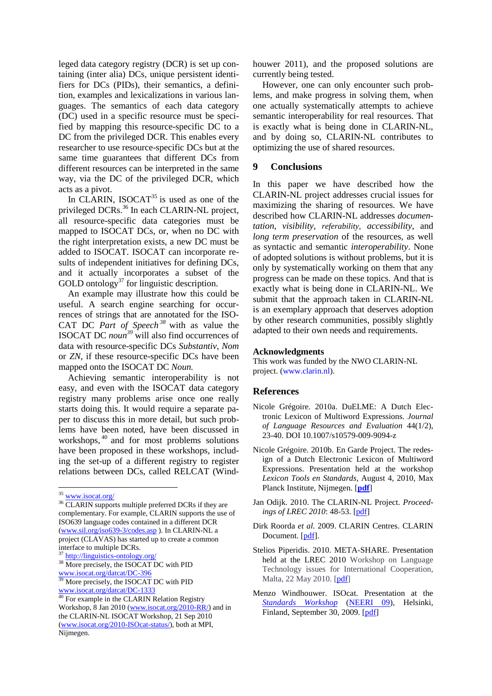leged data category registry (DCR) is set up containing (inter alia) DCs, unique persistent identifiers for DCs (PIDs), their semantics, a definition, examples and lexicalizations in various languages. The semantics of each data category (DC) used in a specific resource must be specified by mapping this resource-specific DC to a DC from the privileged DCR. This enables every researcher to use resource-specific DCs but at the same time guarantees that different DCs from different resources can be interpreted in the same way, via the DC of the privileged DCR, which acts as a pivot.

In CLARIN, ISOCAT<sup>35</sup> is used as one of the privileged DCRs.<sup>36</sup> In each CLARIN-NL project, all resource-specific data categories must be mapped to ISOCAT DCs, or, when no DC with the right interpretation exists, a new DC must be added to ISOCAT. ISOCAT can incorporate results of independent initiatives for defining DCs, and it actually incorporates a subset of the GOLD ontology $37$  for linguistic description.

An example may illustrate how this could be useful. A search engine searching for occurrences of strings that are annotated for the ISO-CAT DC *Part of Speech <sup>38</sup>* with as value the ISOCAT DC *noun <sup>39</sup>* will also find occurrences of data with resource-specific DCs *Substantiv*, *Nom* or *ZN,* if these resource-specific DCs have been mapped onto the ISOCAT DC *Noun.*

Achieving semantic interoperability is not easy, and even with the ISOCAT data category registry many problems arise once one really starts doing this. It would require a separate paper to discuss this in more detail, but such problems have been noted, have been discussed in workshops,<sup>40</sup> and for most problems solutions have been proposed in these workshops, including the set-up of a different registry to register relations between DCs, called RELCAT (Wind-

houwer 2011), and the proposed solutions are currently being tested.

However, one can only encounter such problems, and make progress in solving them, when one actually systematically attempts to achieve semantic interoperability for real resources. That is exactly what is being done in CLARIN-NL, and by doing so, CLARIN-NL contributes to optimizing the use of shared resources.

## <span id="page-7-0"></span>**9 Conclusions**

In this paper we have described how the CLARIN-NL project addresses crucial issues for maximizing the sharing of resources. We have described how CLARIN-NL addresses *documentation*, *visibility*, *referability, accessibility*, and *long term preservation* of the resources, as well as syntactic and semantic *interoperability*. None of adopted solutions is without problems, but it is only by systematically working on them that any progress can be made on these topics. And that is exactly what is being done in CLARIN-NL. We submit that the approach taken in CLARIN-NL is an exemplary approach that deserves adoption by other research communities, possibly slightly adapted to their own needs and requirements.

#### **Acknowledgments**

This work was funded by the NWO CLARIN-NL project. (www.clarin.nl).

### **References**

- Nicole Grégoire. 2010a. DuELME: A Dutch Electronic Lexicon of Multiword Expressions. *Journal of Language Resources and Evaluation* 44(1/2), 23-40. DOI 10.1007/s10579-009-9094-z
- Nicole Grégoire. 2010b. En Garde Project. The redesign of a Dutch Electronic Lexicon of Multiword Expressions. Presentation held at the workshop *Lexicon Tools en Standards*, August 4, 2010, Max Planck Institute, Nijmegen. [**[pdf](http://www.clarin.nl/system/files/Nijmegen-NG.pdf)**]
- Jan Odijk. 2010. The CLARIN-NL Project. *Proceedings of LREC 2010*: 48-53. [\[pdf\]](http://www.lrec-conf.org/proceedings/lrec2010/pdf/70_Paper.pdf)
- Dirk Roorda *et al*. 2009. CLARIN Centres. CLARIN Document. [\[pdf\]](http://www.clarin.eu/files/wg2-1-centers-doc-v8.pdf).
- Stelios Piperidis. 2010. META-SHARE. Presentation held at the LREC 2010 Workshop on Language Technology issues for International Cooperation, Malta, 22 May 2010. [\[pdf\]](http://www.flarenet.eu/sites/default/files/LREC2010_International_Cooperation_Workshop_Piperidis.pdf)
- Menzo Windhouwer. ISOcat. Presentation at the *[Standards](http://www.csc.fi/english/pages/neeri09/workshop) Workshop* [\(NEERI](http://www.csc.fi/english/pages/neeri09) 09), Helsinki, Finland, September 30, 2009. [\[pdf\]](http://www.csc.fi/english/pages/neeri09/workshop/materials/windhouwer.pdf)

<sup>&</sup>lt;sup>35</sup> [www.isocat.org/](http://www.isocat.org/)

<sup>&</sup>lt;sup>36</sup> CLARIN supports multiple preferred DCRs if they are complementary. For example, CLARIN supports the use of ISO639 language codes contained in a different DCR [\(www.sil.org/iso639-3/codes.asp](http://www.sil.org/iso639-3/codes.asp) ). In CLARIN-NL a project (CLAVAS) has started up to create a common interface to multiple DCRs.

<sup>1&</sup>lt;sub>http://linguistics-ontology.org</sub>/ <sup>38</sup> More precisely, the ISOCAT DC with PID

[www.isocat.org/datcat/DC-396](http://www.isocat.org/datcat/DC-396) More precisely, the ISOCAT DC with PID

[www.isocat.org/datcat/DC-1333](http://www.isocat.org/datcat/DC-1333) <sup>40</sup> For example in the CLARIN Relation Registry

Workshop, 8 Jan 2010 [\(www.isocat.org/2010-RR/\)](http://www.isocat.org/2010-RR/) and in the CLARIN-NL ISOCAT Workshop, 21 Sep 2010 [\(www.isocat.org/2010-ISOcat-status/\)](http://www.isocat.org/2010-ISOcat-status/), both at MPI, Nijmegen.